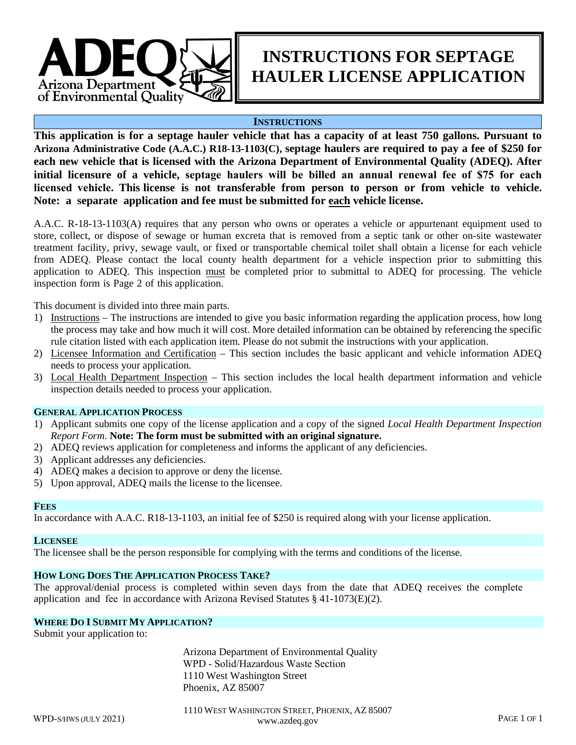

# **INSTRUCTIONS FOR SEPTAGE HAULER LICENSE APPLICATION**

## **INSTRUCTIONS**

**This application is for a septage hauler vehicle that has a capacity of at least 750 gallons. Pursuant to Arizona Administrative Code (A.A.C.) R18-13-1103(C), septage haulers are required to pay a fee of \$250 for each new vehicle that is licensed with the Arizona Department of Environmental Quality (ADEQ). After initial licensure of a vehicle, septage haulers will be billed an annual renewal fee of \$75 for each licensed vehicle. This license is not transferable from person to person or from vehicle to vehicle. Note: a separate application and fee must be submitted for each vehicle license.** 

A.A.C. R-18-13-1103(A) requires that any person who owns or operates a vehicle or appurtenant equipment used to store, collect, or dispose of sewage or human excreta that is removed from a septic tank or other on-site wastewater treatment facility, privy, sewage vault, or fixed or transportable chemical toilet shall obtain a license for each vehicle from ADEQ. Please contact the local county health department for a vehicle inspection prior to submitting this application to ADEQ. This inspection must be completed prior to submittal to ADEQ for processing. The vehicle inspection form is Page 2 of this application.

This document is divided into three main parts.

- 1) Instructions The instructions are intended to give you basic information regarding the application process, how long the process may take and how much it will cost. More detailed information can be obtained by referencing the specific rule citation listed with each application item. Please do not submit the instructions with your application.
- 2) Licensee Information and Certification This section includes the basic applicant and vehicle information ADEQ needs to process your application.
- 3) Local Health Department Inspection This section includes the local health department information and vehicle inspection details needed to process your application.

#### **GENERAL APPLICATION PROCESS**

- 1) Applicant submits one copy of the license application and a copy of the signed *Local Health Department Inspection Report Form*. **Note: The form must be submitted with an original signature.**
- 2) ADEQ reviews application for completeness and informs the applicant of any deficiencies.
- 3) Applicant addresses any deficiencies.
- 4) ADEQ makes a decision to approve or deny the license.
- 5) Upon approval, ADEQ mails the license to the licensee.

#### **FEES**

In accordance with A.A.C. R18-13-1103, an initial fee of \$250 is required along with your license application.

#### **LICENSEE**

The licensee shall be the person responsible for complying with the terms and conditions of the license.

### **HOW LONG DOES THE APPLICATION PROCESS TAKE?**

The approval/denial process is completed within seven days from the date that ADEQ receives the complete application and fee in accordance with Arizona Revised Statutes  $\S$  41-1073(E)(2).

# **WHERE DO I SUBMIT MY APPLICATION?**

Submit your application to:

Arizona Department of Environmental Quality WPD - Solid/Hazardous Waste Section 1110 West Washington Street Phoenix, AZ 85007

WPD-S/HWS (JULY 2021) www.azdeq.gov PAGE 1 OF 1 1110 WEST WASHINGTON STREET, PHOENIX, AZ 85007 www.azdeq.gov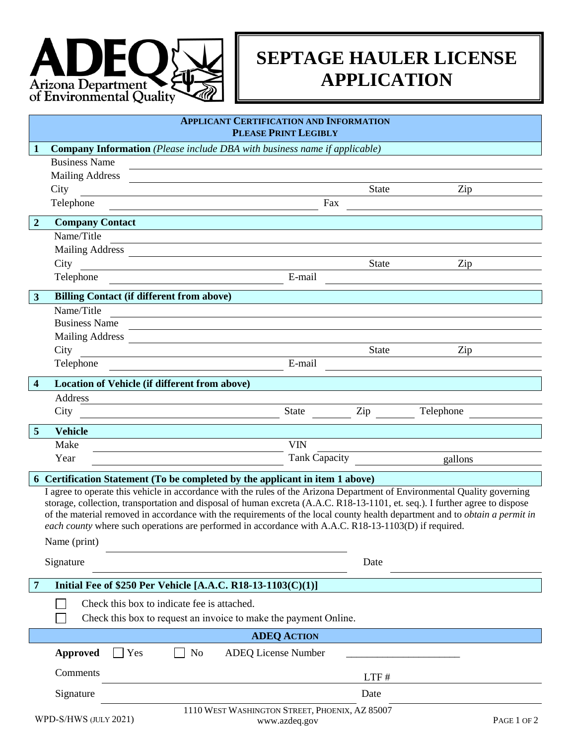

# **SEPTAGE HAULER LICENSE APPLICATION**

|                                                                                                                                                                                                                                                                                                                                                                                                                                                                                                                                                                                                          | <b>APPLICANT CERTIFICATION AND INFORMATION</b><br><b>PLEASE PRINT LEGIBLY</b>    |                                                      |                                                                                                                        |                      |             |  |  |  |  |
|----------------------------------------------------------------------------------------------------------------------------------------------------------------------------------------------------------------------------------------------------------------------------------------------------------------------------------------------------------------------------------------------------------------------------------------------------------------------------------------------------------------------------------------------------------------------------------------------------------|----------------------------------------------------------------------------------|------------------------------------------------------|------------------------------------------------------------------------------------------------------------------------|----------------------|-------------|--|--|--|--|
| $\mathbf 1$                                                                                                                                                                                                                                                                                                                                                                                                                                                                                                                                                                                              | <b>Company Information</b> (Please include DBA with business name if applicable) |                                                      |                                                                                                                        |                      |             |  |  |  |  |
|                                                                                                                                                                                                                                                                                                                                                                                                                                                                                                                                                                                                          | <b>Business Name</b>                                                             |                                                      |                                                                                                                        |                      |             |  |  |  |  |
|                                                                                                                                                                                                                                                                                                                                                                                                                                                                                                                                                                                                          | <b>Mailing Address</b>                                                           |                                                      |                                                                                                                        |                      |             |  |  |  |  |
|                                                                                                                                                                                                                                                                                                                                                                                                                                                                                                                                                                                                          | City                                                                             |                                                      |                                                                                                                        | <b>State</b>         | Zip         |  |  |  |  |
|                                                                                                                                                                                                                                                                                                                                                                                                                                                                                                                                                                                                          | Telephone                                                                        |                                                      | Fax                                                                                                                    |                      |             |  |  |  |  |
| $\overline{2}$                                                                                                                                                                                                                                                                                                                                                                                                                                                                                                                                                                                           | <b>Company Contact</b>                                                           |                                                      |                                                                                                                        |                      |             |  |  |  |  |
|                                                                                                                                                                                                                                                                                                                                                                                                                                                                                                                                                                                                          | Name/Title                                                                       |                                                      |                                                                                                                        |                      |             |  |  |  |  |
|                                                                                                                                                                                                                                                                                                                                                                                                                                                                                                                                                                                                          |                                                                                  |                                                      | Mailing Address                                                                                                        |                      |             |  |  |  |  |
|                                                                                                                                                                                                                                                                                                                                                                                                                                                                                                                                                                                                          | City                                                                             |                                                      | <u> 1980 - Johann Stoff, deutscher Stoffen und der Stoffen und der Stoffen und der Stoffen und der Stoffen und der</u> | State                | Zip         |  |  |  |  |
|                                                                                                                                                                                                                                                                                                                                                                                                                                                                                                                                                                                                          | Telephone                                                                        | <u> 1989 - Johann Stoff, Amerikaansk politiker (</u> | E-mail                                                                                                                 |                      |             |  |  |  |  |
| $\mathbf{3}$                                                                                                                                                                                                                                                                                                                                                                                                                                                                                                                                                                                             |                                                                                  | <b>Billing Contact (if different from above)</b>     |                                                                                                                        |                      |             |  |  |  |  |
|                                                                                                                                                                                                                                                                                                                                                                                                                                                                                                                                                                                                          | Name/Title                                                                       |                                                      |                                                                                                                        |                      |             |  |  |  |  |
|                                                                                                                                                                                                                                                                                                                                                                                                                                                                                                                                                                                                          | <b>Business Name</b>                                                             |                                                      |                                                                                                                        |                      |             |  |  |  |  |
|                                                                                                                                                                                                                                                                                                                                                                                                                                                                                                                                                                                                          |                                                                                  |                                                      | Mailing Address                                                                                                        |                      |             |  |  |  |  |
|                                                                                                                                                                                                                                                                                                                                                                                                                                                                                                                                                                                                          | City                                                                             |                                                      |                                                                                                                        | <b>State</b>         | Zip         |  |  |  |  |
|                                                                                                                                                                                                                                                                                                                                                                                                                                                                                                                                                                                                          | Telephone                                                                        |                                                      | E-mail                                                                                                                 |                      |             |  |  |  |  |
| $\overline{\mathbf{4}}$                                                                                                                                                                                                                                                                                                                                                                                                                                                                                                                                                                                  |                                                                                  | Location of Vehicle (if different from above)        |                                                                                                                        |                      |             |  |  |  |  |
|                                                                                                                                                                                                                                                                                                                                                                                                                                                                                                                                                                                                          | Address                                                                          |                                                      |                                                                                                                        |                      |             |  |  |  |  |
|                                                                                                                                                                                                                                                                                                                                                                                                                                                                                                                                                                                                          | City                                                                             |                                                      | <b>State</b>                                                                                                           | $\operatorname{Zip}$ | Telephone   |  |  |  |  |
| $\overline{5}$                                                                                                                                                                                                                                                                                                                                                                                                                                                                                                                                                                                           | <b>Vehicle</b>                                                                   |                                                      |                                                                                                                        |                      |             |  |  |  |  |
|                                                                                                                                                                                                                                                                                                                                                                                                                                                                                                                                                                                                          | Make                                                                             |                                                      | <b>VIN</b>                                                                                                             |                      |             |  |  |  |  |
|                                                                                                                                                                                                                                                                                                                                                                                                                                                                                                                                                                                                          | Year                                                                             |                                                      |                                                                                                                        | Tank Capacity        | gallons     |  |  |  |  |
|                                                                                                                                                                                                                                                                                                                                                                                                                                                                                                                                                                                                          |                                                                                  |                                                      |                                                                                                                        |                      |             |  |  |  |  |
| 6 Certification Statement (To be completed by the applicant in item 1 above)<br>I agree to operate this vehicle in accordance with the rules of the Arizona Department of Environmental Quality governing<br>storage, collection, transportation and disposal of human excreta (A.A.C. R18-13-1101, et. seq.). I further agree to dispose<br>of the material removed in accordance with the requirements of the local county health department and to <i>obtain a permit in</i><br>each county where such operations are performed in accordance with A.A.C. R18-13-1103(D) if required.<br>Name (print) |                                                                                  |                                                      |                                                                                                                        |                      |             |  |  |  |  |
|                                                                                                                                                                                                                                                                                                                                                                                                                                                                                                                                                                                                          | Signature                                                                        |                                                      |                                                                                                                        |                      |             |  |  |  |  |
| $\overline{7}$                                                                                                                                                                                                                                                                                                                                                                                                                                                                                                                                                                                           |                                                                                  |                                                      | Initial Fee of \$250 Per Vehicle [A.A.C. R18-13-1103(C)(1)]                                                            |                      |             |  |  |  |  |
|                                                                                                                                                                                                                                                                                                                                                                                                                                                                                                                                                                                                          | Check this box to indicate fee is attached.                                      |                                                      |                                                                                                                        |                      |             |  |  |  |  |
|                                                                                                                                                                                                                                                                                                                                                                                                                                                                                                                                                                                                          |                                                                                  |                                                      | Check this box to request an invoice to make the payment Online.                                                       |                      |             |  |  |  |  |
| <b>ADEQ ACTION</b>                                                                                                                                                                                                                                                                                                                                                                                                                                                                                                                                                                                       |                                                                                  |                                                      |                                                                                                                        |                      |             |  |  |  |  |
|                                                                                                                                                                                                                                                                                                                                                                                                                                                                                                                                                                                                          | <b>Approved</b>                                                                  | N <sub>o</sub><br>Yes                                | <b>ADEQ License Number</b>                                                                                             |                      |             |  |  |  |  |
|                                                                                                                                                                                                                                                                                                                                                                                                                                                                                                                                                                                                          | Comments                                                                         |                                                      |                                                                                                                        | LTF#                 |             |  |  |  |  |
|                                                                                                                                                                                                                                                                                                                                                                                                                                                                                                                                                                                                          | Signature                                                                        |                                                      |                                                                                                                        | Date                 |             |  |  |  |  |
|                                                                                                                                                                                                                                                                                                                                                                                                                                                                                                                                                                                                          | WPD-S/HWS (JULY 2021)                                                            |                                                      | 1110 WEST WASHINGTON STREET, PHOENIX, AZ 85007<br>www.azdeq.gov                                                        |                      | PAGE 1 OF 2 |  |  |  |  |